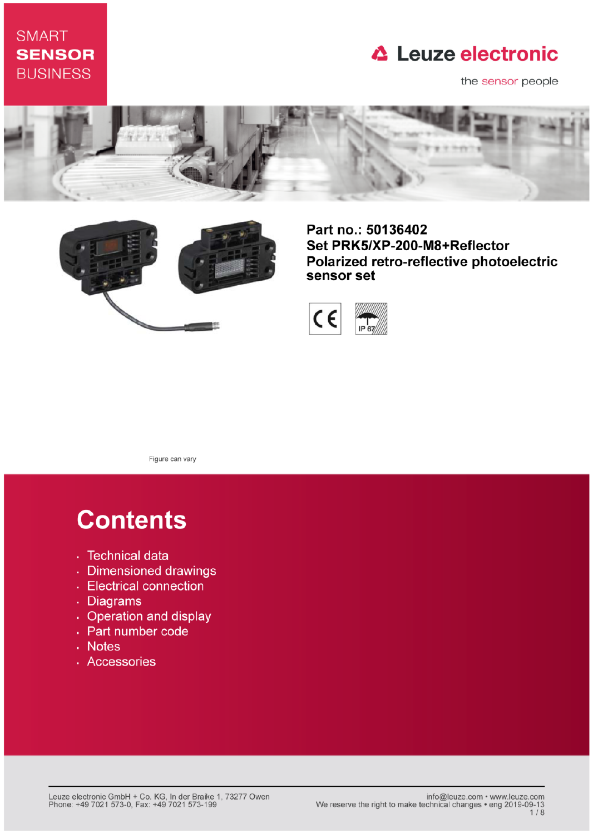### **SMART SENSOR BUSINESS**

## **△ Leuze electronic**

the sensor people





Part no.: 50136402 Set PRK5/XP-200-M8+Reflector Polarized retro-reflective photoelectric sensor set



Figure can vary

# **Contents**

- · Technical data
- · Dimensioned drawings
- Electrical connection
- . Diagrams
- Operation and display
- Part number code
- Notes
- · Accessories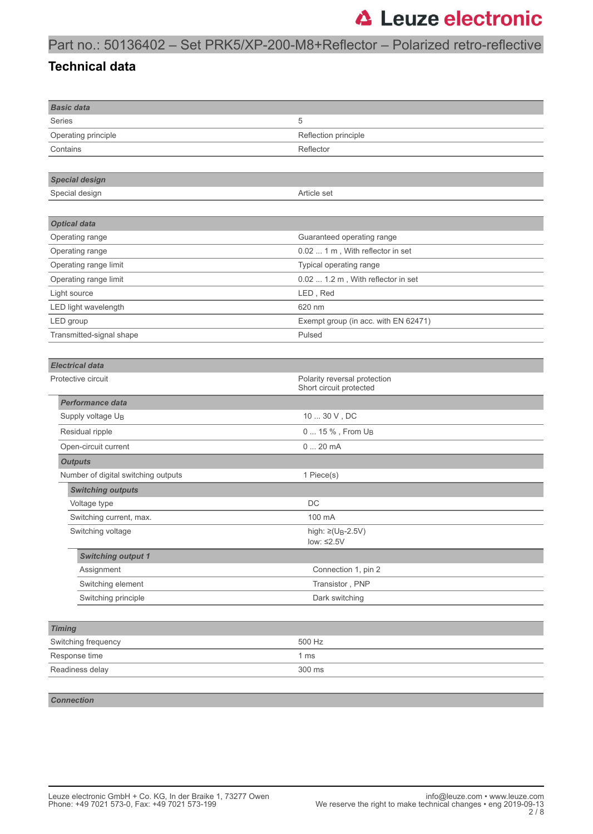### Part no.: 50136402 – Set PRK5/XP-200-M8+Reflector – Polarized retro-reflective

#### **Technical data**

| <b>Basic data</b>                   |                                                         |  |  |
|-------------------------------------|---------------------------------------------------------|--|--|
| <b>Series</b>                       | 5                                                       |  |  |
| Operating principle                 | Reflection principle                                    |  |  |
| Contains                            | Reflector                                               |  |  |
|                                     |                                                         |  |  |
| <b>Special design</b>               |                                                         |  |  |
| Special design                      | Article set                                             |  |  |
|                                     |                                                         |  |  |
| <b>Optical data</b>                 |                                                         |  |  |
| Operating range                     | Guaranteed operating range                              |  |  |
| Operating range                     | 0.02  1 m, With reflector in set                        |  |  |
| Operating range limit               | Typical operating range                                 |  |  |
| Operating range limit               | 0.02  1.2 m, With reflector in set                      |  |  |
| Light source                        | LED, Red                                                |  |  |
| LED light wavelength                | 620 nm                                                  |  |  |
| LED group                           | Exempt group (in acc. with EN 62471)                    |  |  |
| Transmitted-signal shape            | Pulsed                                                  |  |  |
|                                     |                                                         |  |  |
| <b>Electrical data</b>              |                                                         |  |  |
| Protective circuit                  | Polarity reversal protection<br>Short circuit protected |  |  |
| <b>Performance data</b>             |                                                         |  |  |
| Supply voltage U <sub>B</sub>       | 10  30 V, DC                                            |  |  |
| Residual ripple                     | 0  15 %, From U <sub>B</sub>                            |  |  |
| Open-circuit current                | 020mA                                                   |  |  |
| <b>Outputs</b>                      |                                                         |  |  |
| Number of digital switching outputs | 1 Piece(s)                                              |  |  |
| <b>Switching outputs</b>            |                                                         |  |  |
| Voltage type                        | DC                                                      |  |  |
| Switching current, max.             | 100 mA                                                  |  |  |
| Switching voltage                   | high: $\geq$ (U <sub>B</sub> -2.5V)<br>low: $\leq 2.5V$ |  |  |
| <b>Switching output 1</b>           |                                                         |  |  |
| Assignment                          | Connection 1, pin 2                                     |  |  |
| Switching element                   | Transistor, PNP                                         |  |  |
| Switching principle                 | Dark switching                                          |  |  |
|                                     |                                                         |  |  |
| <b>Timing</b>                       |                                                         |  |  |
| Switching frequency                 | 500 Hz                                                  |  |  |
| Response time                       | 1 <sub>ms</sub>                                         |  |  |
| Readiness delay                     | 300 ms                                                  |  |  |
|                                     |                                                         |  |  |

*Connection*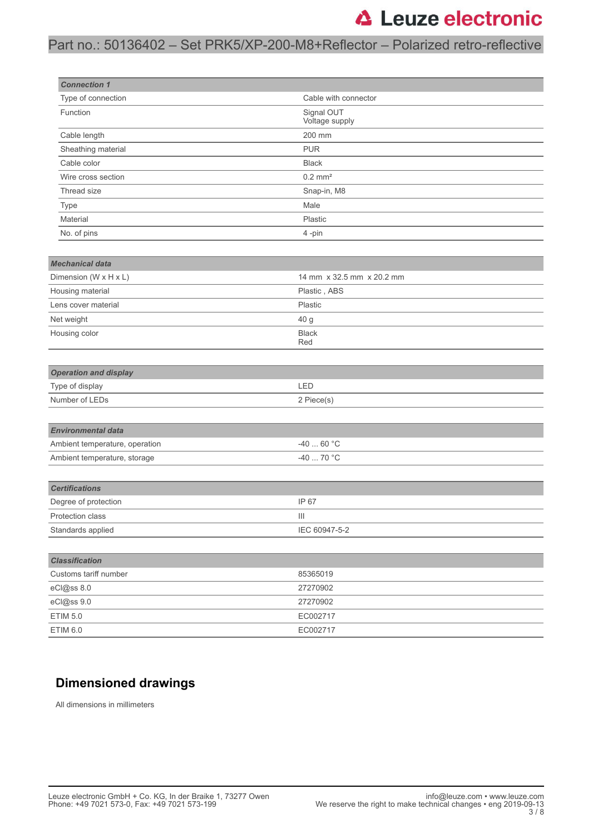### Part no.: 50136402 – Set PRK5/XP-200-M8+Reflector – Polarized retro-reflective

| <b>Connection 1</b>                            |                              |
|------------------------------------------------|------------------------------|
| Type of connection                             | Cable with connector         |
| Function                                       | Signal OUT<br>Voltage supply |
| Cable length                                   | 200 mm                       |
| Sheathing material                             | <b>PUR</b>                   |
| Cable color                                    | <b>Black</b>                 |
| Wire cross section                             | $0.2$ mm <sup>2</sup>        |
| Thread size                                    | Snap-in, M8                  |
| Type                                           | Male                         |
| Material                                       | Plastic                      |
| No. of pins                                    | 4-pin                        |
|                                                |                              |
| <b>Mechanical data</b>                         |                              |
| Dimension (W x H x L)                          | 14 mm x 32.5 mm x 20.2 mm    |
| Housing material                               | Plastic, ABS                 |
| Lens cover material                            | Plastic                      |
| Net weight                                     | 40 g                         |
| Housing color                                  | Black<br>Red                 |
| <b>Operation and display</b>                   |                              |
| Type of display                                | LED                          |
| Number of LEDs                                 | 2 Piece(s)                   |
|                                                |                              |
| <b>Environmental data</b>                      |                              |
| Ambient temperature, operation                 | $-4060 °C$                   |
| Ambient temperature, storage                   | $-4070 °C$                   |
|                                                |                              |
| <b>Certifications</b>                          |                              |
| Degree of protection                           | IP 67                        |
| Protection class                               | Ш                            |
| Standards applied                              | IEC 60947-5-2                |
|                                                |                              |
| <b>Classification</b><br>Customs tariff number |                              |
|                                                | 85365019                     |
| eCl@ss 8.0                                     | 27270902                     |
| eCl@ss 9.0                                     | 27270902                     |
| ETIM 5.0                                       | EC002717                     |
| <b>ETIM 6.0</b>                                | EC002717                     |

### **Dimensioned drawings**

All dimensions in millimeters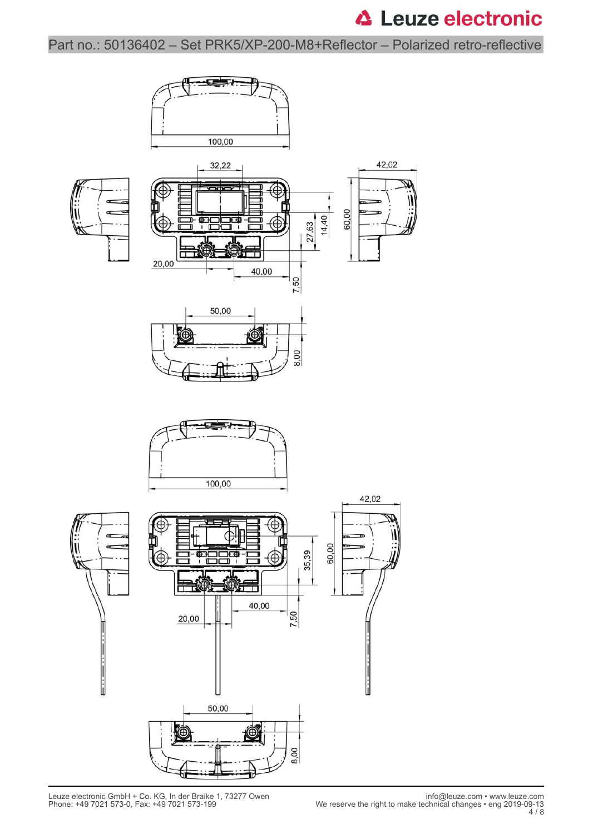Part no.: 50136402 – Set PRK5/XP-200-M8+Reflector – Polarized retro-reflective

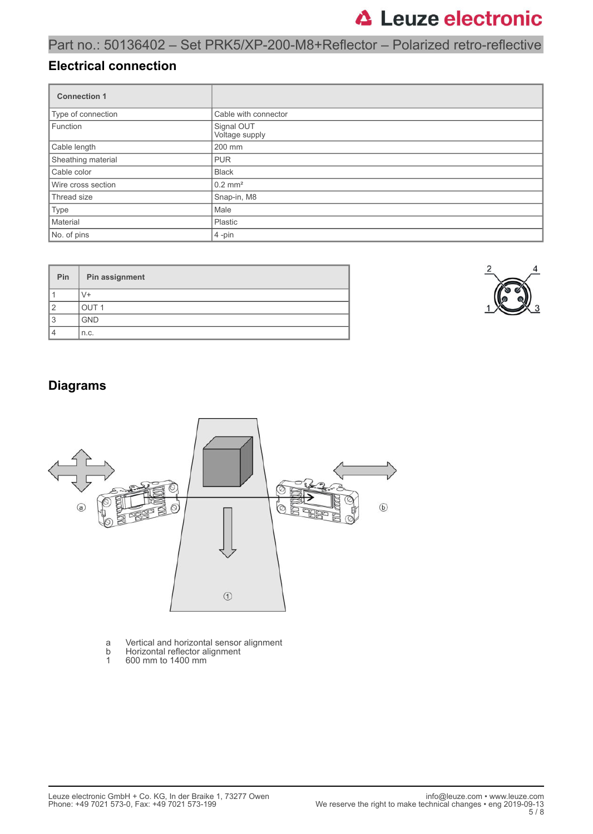### Part no.: 50136402 – Set PRK5/XP-200-M8+Reflector – Polarized retro-reflective

#### **Electrical connection**

| <b>Connection 1</b> |                              |  |
|---------------------|------------------------------|--|
| Type of connection  | Cable with connector         |  |
| Function            | Signal OUT<br>Voltage supply |  |
| Cable length        | 200 mm                       |  |
| Sheathing material  | <b>PUR</b>                   |  |
| Cable color         | <b>Black</b>                 |  |
| Wire cross section  | $0.2$ mm <sup>2</sup>        |  |
| Thread size         | Snap-in, M8                  |  |
| Type                | Male                         |  |
| Material            | Plastic                      |  |
| No. of pins         | $4$ -pin                     |  |

| Pin | Pin assignment   |  |  |
|-----|------------------|--|--|
|     |                  |  |  |
| ◠   | OUT <sub>1</sub> |  |  |
| 3   | <b>GND</b>       |  |  |
| 4   | n.c.             |  |  |



### **Diagrams**



- a Vertical and horizontal sensor alignment
- b Horizontal reflector alignment
- 1 600 mm to 1400 mm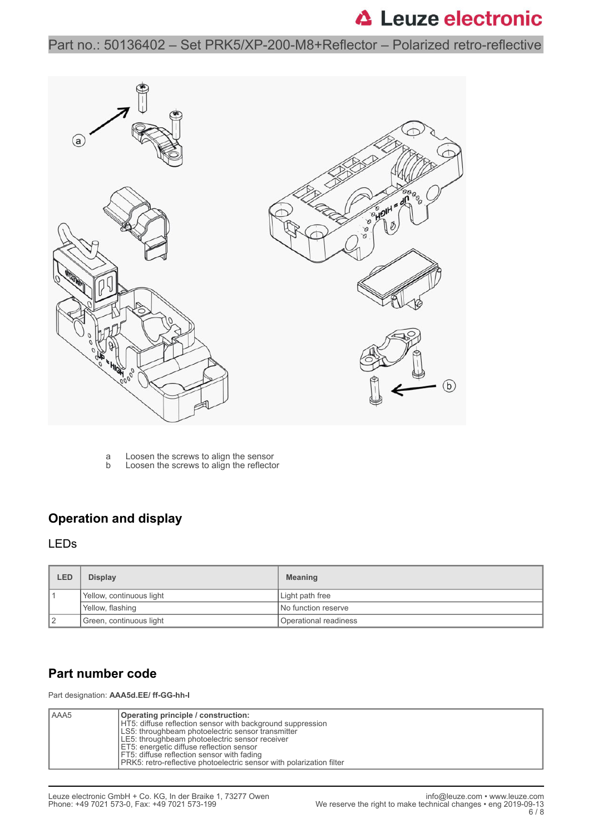Part no.: 50136402 – Set PRK5/XP-200-M8+Reflector – Polarized retro-reflective



a Loosen the screws to align the sensor b Loosen the screws to align the reflector

### **Operation and display**

#### LEDs

| <b>LED</b> | <b>Display</b>           | <b>Meaning</b>        |
|------------|--------------------------|-----------------------|
|            | Yellow, continuous light | Light path free       |
|            | Yellow, flashing         | No function reserve   |
|            | Green, continuous light  | Operational readiness |

### **Part number code**

Part designation: **AAA5d.EE/ ff-GG-hh-I**

| l AAA5<br>Operating principle / construction:<br>HT5: diffuse reflection sensor with background suppression<br>LS5: throughbeam photoelectric sensor transmitter<br>LE5: throughbeam photoelectric sensor receiver<br>ET5: energetic diffuse reflection sensor<br>FT5: diffuse reflection sensor with fading<br><b>PRK5:</b> retro-reflective photoelectric sensor with polarization filter |  |
|---------------------------------------------------------------------------------------------------------------------------------------------------------------------------------------------------------------------------------------------------------------------------------------------------------------------------------------------------------------------------------------------|--|
|---------------------------------------------------------------------------------------------------------------------------------------------------------------------------------------------------------------------------------------------------------------------------------------------------------------------------------------------------------------------------------------------|--|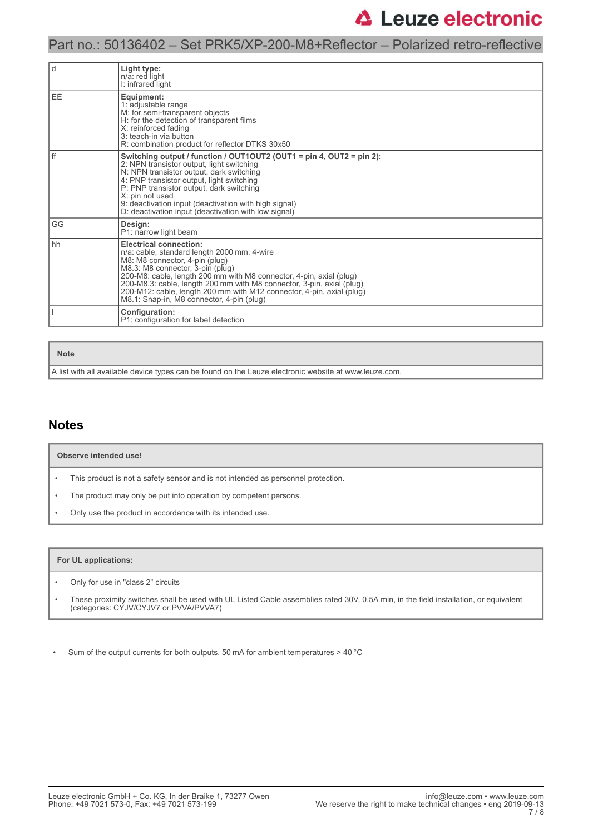#### Part no.: 50136402 – Set PRK5/XP-200-M8+Reflector – Polarized retro-reflective

| l d  | Light type:<br>n/a: red light<br>I: infrared light                                                                                                                                                                                                                                                                                                                                                                       |
|------|--------------------------------------------------------------------------------------------------------------------------------------------------------------------------------------------------------------------------------------------------------------------------------------------------------------------------------------------------------------------------------------------------------------------------|
| EE   | Equipment:<br>1: adjustable range<br>M: for semi-transparent objects<br>H: for the detection of transparent films<br>X: reinforced fading<br>3: teach-in via button<br>R: combination product for reflector DTKS 30x50                                                                                                                                                                                                   |
| l ff | Switching output / function / OUT1OUT2 (OUT1 = pin 4, OUT2 = pin 2):<br>2: NPN transistor output, light switching<br>N: NPN transistor output, dark switching<br>4: PNP transistor output, light switching<br>P: PNP transistor output, dark switching<br>X: pin not used<br>9: deactivation input (deactivation with high signal)<br>D: deactivation input (deactivation with low signal)                               |
| GG   | Design:<br>P1: narrow light beam                                                                                                                                                                                                                                                                                                                                                                                         |
| l hh | <b>Electrical connection:</b><br>n/a: cable, standard length 2000 mm, 4-wire<br>M8: M8 connector, 4-pin (plug)<br>M8.3: M8 connector, 3-pin (plug)<br>200-M8: cable, length 200 mm with M8 connector, 4-pin, axial (plug)<br>200-M8.3: cable, length 200 mm with M8 connector, 3-pin, axial (plug)<br>200-M12: cable, length 200 mm with M12 connector, 4-pin, axial (plug)<br>M8.1: Snap-in, M8 connector, 4-pin (plug) |
|      | Configuration:<br>P1: configuration for label detection                                                                                                                                                                                                                                                                                                                                                                  |

#### **Note**

A list with all available device types can be found on the Leuze electronic website at www.leuze.com.

#### **Notes**

#### **Observe intended use!**

- This product is not a safety sensor and is not intended as personnel protection.
- The product may only be put into operation by competent persons.
- Only use the product in accordance with its intended use.

#### **For UL applications:**

- Only for use in "class 2" circuits
- These proximity switches shall be used with UL Listed Cable assemblies rated 30V, 0.5A min, in the field installation, or equivalent (categories: CYJV/CYJV7 or PVVA/PVVA7)

• Sum of the output currents for both outputs, 50 mA for ambient temperatures > 40 °C